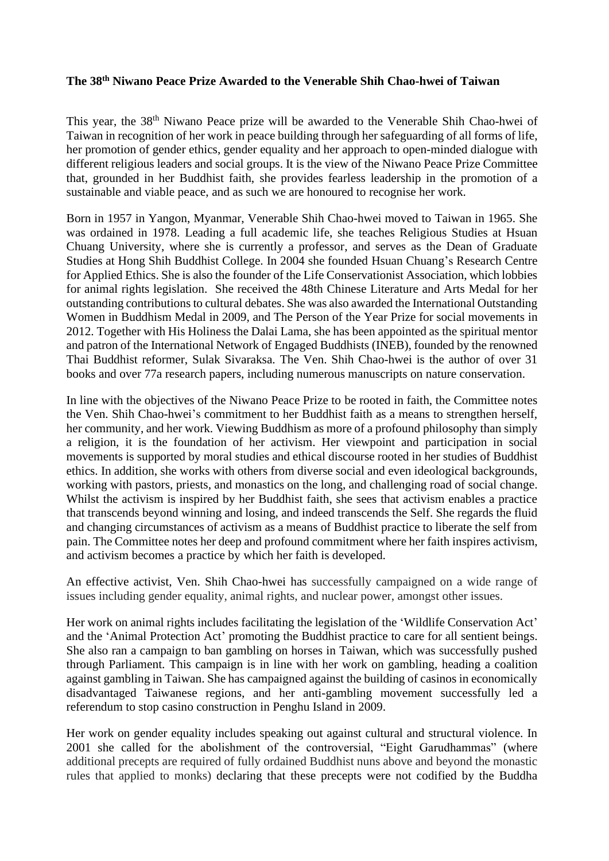## **The 38th Niwano Peace Prize Awarded to the Venerable Shih Chao-hwei of Taiwan**

This year, the 38<sup>th</sup> Niwano Peace prize will be awarded to the Venerable Shih Chao-hwei of Taiwan in recognition of her work in peace building through her safeguarding of all forms of life, her promotion of gender ethics, gender equality and her approach to open-minded dialogue with different religious leaders and social groups. It is the view of the Niwano Peace Prize Committee that, grounded in her Buddhist faith, she provides fearless leadership in the promotion of a sustainable and viable peace, and as such we are honoured to recognise her work.

Born in 1957 in Yangon, Myanmar, Venerable Shih Chao-hwei moved to Taiwan in 1965. She was ordained in 1978. Leading a full academic life, she teaches Religious Studies at Hsuan Chuang University, where she is currently a professor, and serves as the Dean of Graduate Studies at Hong Shih Buddhist College. In 2004 she founded Hsuan Chuang's Research Centre for Applied Ethics. She is also the founder of the Life Conservationist Association, which lobbies for animal rights legislation. She received the 48th Chinese Literature and Arts Medal for her outstanding contributions to cultural debates. She was also awarded the International Outstanding Women in Buddhism Medal in 2009, and The Person of the Year Prize for social movements in 2012. Together with His Holiness the Dalai Lama, she has been appointed as the spiritual mentor and patron of the International Network of Engaged Buddhists (INEB), founded by the renowned Thai Buddhist reformer, Sulak Sivaraksa. The Ven. Shih Chao-hwei is the author of over 31 books and over 77a research papers, including numerous manuscripts on nature conservation.

In line with the objectives of the Niwano Peace Prize to be rooted in faith, the Committee notes the Ven. Shih Chao-hwei's commitment to her Buddhist faith as a means to strengthen herself, her community, and her work. Viewing Buddhism as more of a profound philosophy than simply a religion, it is the foundation of her activism. Her viewpoint and participation in social movements is supported by moral studies and ethical discourse rooted in her studies of Buddhist ethics. In addition, she works with others from diverse social and even ideological backgrounds, working with pastors, priests, and monastics on the long, and challenging road of social change. Whilst the activism is inspired by her Buddhist faith, she sees that activism enables a practice that transcends beyond winning and losing, and indeed transcends the Self. She regards the fluid and changing circumstances of activism as a means of Buddhist practice to liberate the self from pain. The Committee notes her deep and profound commitment where her faith inspires activism, and activism becomes a practice by which her faith is developed.

An effective activist, Ven. Shih Chao-hwei has successfully campaigned on a wide range of issues including gender equality, animal rights, and nuclear power, amongst other issues.

Her work on animal rights includes facilitating the legislation of the 'Wildlife Conservation Act' and the 'Animal Protection Act' promoting the Buddhist practice to care for all sentient beings. She also ran a campaign to ban gambling on horses in Taiwan, which was successfully pushed through Parliament. This campaign is in line with her work on gambling, heading a coalition against gambling in Taiwan. She has campaigned against the building of casinos in economically disadvantaged Taiwanese regions, and her anti-gambling movement successfully led a referendum to stop casino construction in Penghu Island in 2009.

Her work on gender equality includes speaking out against cultural and structural violence. In 2001 she called for the abolishment of the controversial, "Eight Garudhammas" (where additional precepts are required of fully ordained Buddhist nuns above and beyond the monastic rules that applied to monks) declaring that these precepts were not codified by the Buddha